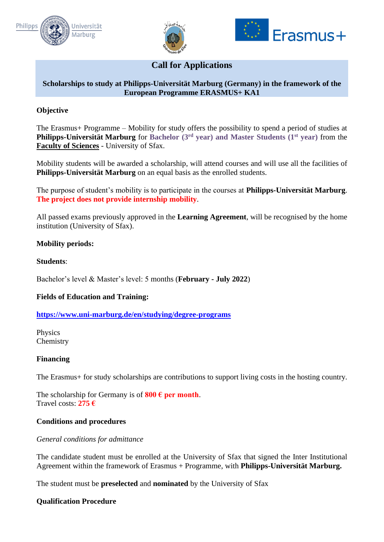





# **Call for Applications**

## **Scholarships to study at Philipps-Universität Marburg (Germany) in the framework of the European Programme ERASMUS+ KA1**

## **Objective**

The Erasmus+ Programme – Mobility for study offers the possibility to spend a period of studies at **Philipps-Universität Marburg** for **Bachelor (3rd year) and Master Students (1st year)** from the **Faculty of Sciences** - University of Sfax.

Mobility students will be awarded a scholarship, will attend courses and will use all the facilities of **Philipps-Universität Marburg** on an equal basis as the enrolled students.

The purpose of student's mobility is to participate in the courses at **Philipps-Universität Marburg**. **The project does not provide internship mobility**.

All passed exams previously approved in the **Learning Agreement**, will be recognised by the home institution (University of Sfax).

## **Mobility periods:**

## **Students**:

Bachelor's level & Master's level: 5 months (**February - July 2022**)

## **Fields of Education and Training:**

**https://www.uni-marburg.de/en/studying/degree-programs**

Physics **Chemistry** 

#### **Financing**

The Erasmus+ for study scholarships are contributions to support living costs in the hosting country.

The scholarship for Germany is of  $800 \text{ } \in \text{per month.}$ Travel costs: **275 €**

## **Conditions and procedures**

## *General conditions for admittance*

The candidate student must be enrolled at the University of Sfax that signed the Inter Institutional Agreement within the framework of Erasmus + Programme, with **Philipps-Universität Marburg.** 

The student must be **preselected** and **nominated** by the University of Sfax

## **Qualification Procedure**